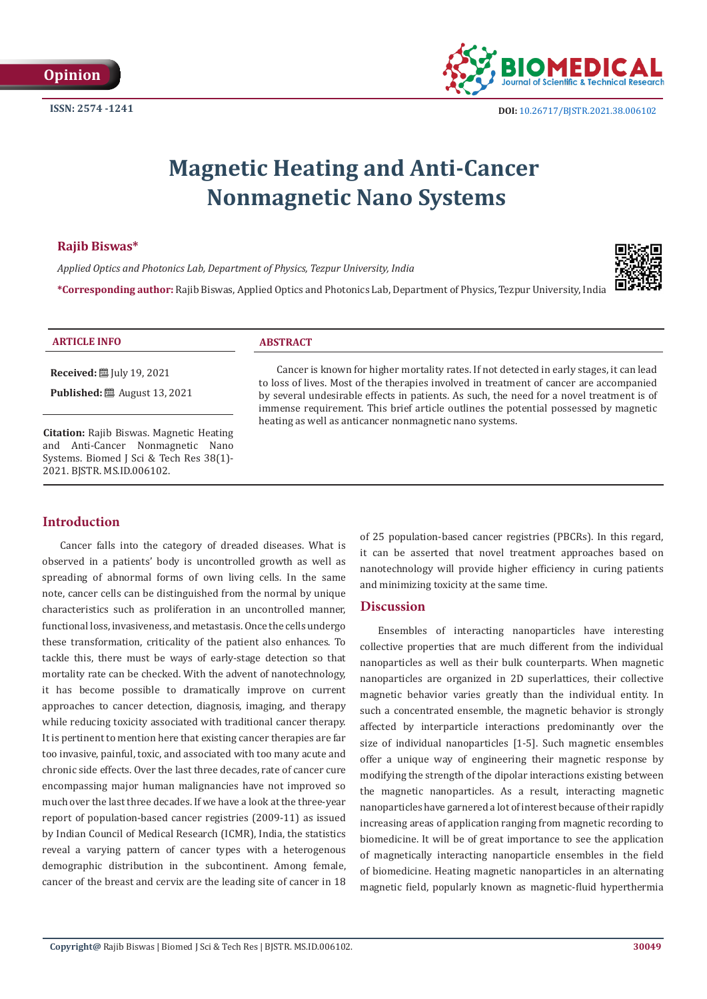**ISSN: 2574 -1241**



# **Magnetic Heating and Anti-Cancer Nonmagnetic Nano Systems**

## **Rajib Biswas\***

*Applied Optics and Photonics Lab, Department of Physics, Tezpur University, India*



**\*Corresponding author:** Rajib Biswas, Applied Optics and Photonics Lab, Department of Physics, Tezpur University, India

#### **ARTICLE INFO ABSTRACT**

**Received:** [Uly 19, 2021]

**Published:** ■ August 13, 2021

**Citation:** Rajib Biswas. Magnetic Heating and Anti-Cancer Nonmagnetic Nano Systems. Biomed J Sci & Tech Res 38(1)- 2021. BJSTR. MS.ID.006102.

Cancer is known for higher mortality rates. If not detected in early stages, it can lead to loss of lives. Most of the therapies involved in treatment of cancer are accompanied by several undesirable effects in patients. As such, the need for a novel treatment is of immense requirement. This brief article outlines the potential possessed by magnetic heating as well as anticancer nonmagnetic nano systems.

# **Introduction**

Cancer falls into the category of dreaded diseases. What is observed in a patients' body is uncontrolled growth as well as spreading of abnormal forms of own living cells. In the same note, cancer cells can be distinguished from the normal by unique characteristics such as proliferation in an uncontrolled manner, functional loss, invasiveness, and metastasis. Once the cells undergo these transformation, criticality of the patient also enhances. To tackle this, there must be ways of early-stage detection so that mortality rate can be checked. With the advent of nanotechnology, it has become possible to dramatically improve on current approaches to cancer detection, diagnosis, imaging, and therapy while reducing toxicity associated with traditional cancer therapy. It is pertinent to mention here that existing cancer therapies are far too invasive, painful, toxic, and associated with too many acute and chronic side effects. Over the last three decades, rate of cancer cure encompassing major human malignancies have not improved so much over the last three decades. If we have a look at the three-year report of population-based cancer registries (2009-11) as issued by Indian Council of Medical Research (ICMR), India, the statistics reveal a varying pattern of cancer types with a heterogenous demographic distribution in the subcontinent. Among female, cancer of the breast and cervix are the leading site of cancer in 18

of 25 population-based cancer registries (PBCRs). In this regard, it can be asserted that novel treatment approaches based on nanotechnology will provide higher efficiency in curing patients and minimizing toxicity at the same time.

# **Discussion**

Ensembles of interacting nanoparticles have interesting collective properties that are much different from the individual nanoparticles as well as their bulk counterparts. When magnetic nanoparticles are organized in 2D superlattices, their collective magnetic behavior varies greatly than the individual entity. In such a concentrated ensemble, the magnetic behavior is strongly affected by interparticle interactions predominantly over the size of individual nanoparticles [1-5]. Such magnetic ensembles offer a unique way of engineering their magnetic response by modifying the strength of the dipolar interactions existing between the magnetic nanoparticles. As a result, interacting magnetic nanoparticles have garnered a lot of interest because of their rapidly increasing areas of application ranging from magnetic recording to biomedicine. It will be of great importance to see the application of magnetically interacting nanoparticle ensembles in the field of biomedicine. Heating magnetic nanoparticles in an alternating magnetic field, popularly known as magnetic-fluid hyperthermia